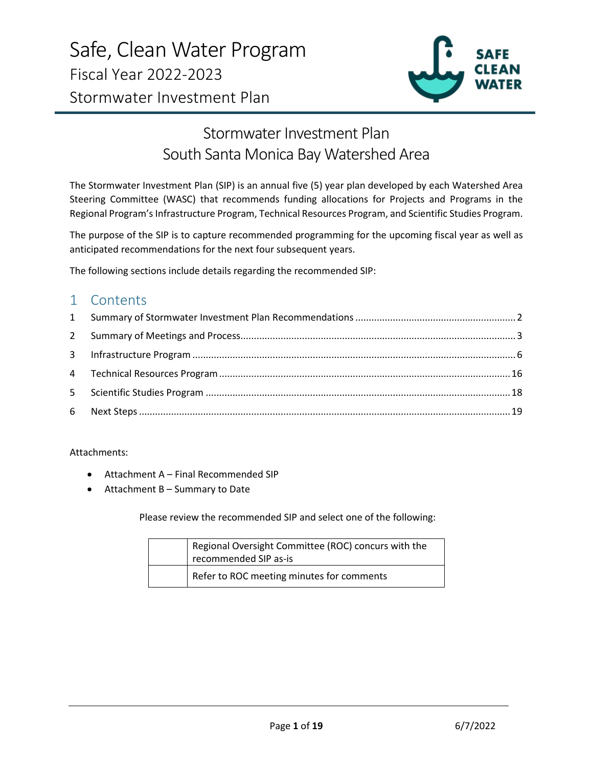

# Stormwater Investment Plan South Santa Monica Bay Watershed Area

The Stormwater Investment Plan (SIP) is an annual five (5) year plan developed by each Watershed Area Steering Committee (WASC) that recommends funding allocations for Projects and Programs in the Regional Program's Infrastructure Program, Technical Resources Program, and Scientific Studies Program.

The purpose of the SIP is to capture recommended programming for the upcoming fiscal year as well as anticipated recommendations for the next four subsequent years.

The following sections include details regarding the recommended SIP:

# 1 Contents

Attachments:

- Attachment A Final Recommended SIP
- Attachment B Summary to Date

Please review the recommended SIP and select one of the following:

| Regional Oversight Committee (ROC) concurs with the<br>recommended SIP as-is |
|------------------------------------------------------------------------------|
| Refer to ROC meeting minutes for comments                                    |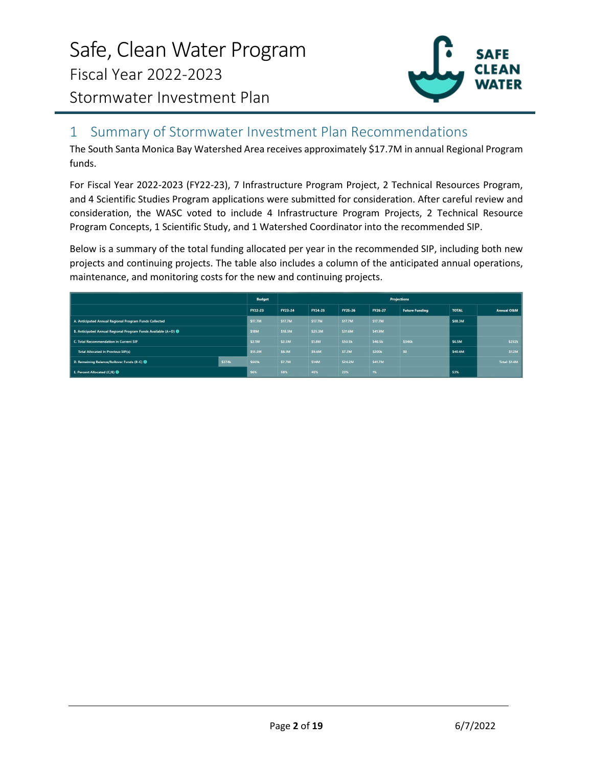

# <span id="page-1-0"></span>1 Summary of Stormwater Investment Plan Recommendations

The South Santa Monica Bay Watershed Area receives approximately \$17.7M in annual Regional Program funds.

For Fiscal Year 2022-2023 (FY22-23), 7 Infrastructure Program Project, 2 Technical Resources Program, and 4 Scientific Studies Program applications were submitted for consideration. After careful review and consideration, the WASC voted to include 4 Infrastructure Program Projects, 2 Technical Resource Program Concepts, 1 Scientific Study, and 1 Watershed Coordinator into the recommended SIP.

Below is a summary of the total funding allocated per year in the recommended SIP, including both new projects and continuing projects. The table also includes a column of the anticipated annual operations, maintenance, and monitoring costs for the new and continuing projects.

|                                                                         | <b>Budget</b> | <b>Projections</b> |             |         |                    |                       |              |                       |
|-------------------------------------------------------------------------|---------------|--------------------|-------------|---------|--------------------|-----------------------|--------------|-----------------------|
| FY22-23                                                                 |               | FY23-24            | FY24-25     | FY25-26 | FY26-27            | <b>Future Funding</b> | <b>TOTAL</b> | <b>Annual O&amp;M</b> |
| A. Anticipated Annual Regional Program Funds Collected<br><b>S17.7M</b> |               | <b>S17.7M</b>      | \$17.7M     | \$17.7M | \$17.7M            |                       | \$88.3M      |                       |
| B. Anticipated Annual Regional Program Funds Available (A+D) $\bigcirc$ |               | \$18.3M            | \$25.3M     | \$31.6M | \$41.9M            |                       |              |                       |
| C. Total Recommendation in Current SIP                                  |               | \$2.5M             | \$1.8M      | \$50.5k | \$46.5k            | \$346k                | \$6.5M       | \$232k                |
| <b>Total Allocated in Previous SIP(s)</b>                               | \$15.3M       | \$8.1M             | \$9.6M      | \$7.3M  | \$200 <sub>k</sub> | 50                    | \$40.6M      | \$1.2M                |
| \$374k<br>D. Remaining Balance/Rollover Funds (B-C) <sup>8</sup>        | \$661k        | \$7.7M             | <b>S14M</b> | \$24.2M | \$41.7M            |                       |              | Total: \$1.4M         |
| E. Percent Allocated (C/B) <sup>6</sup>                                 |               | 58%                | 45%         | 23%     | 1%                 |                       | 53%          |                       |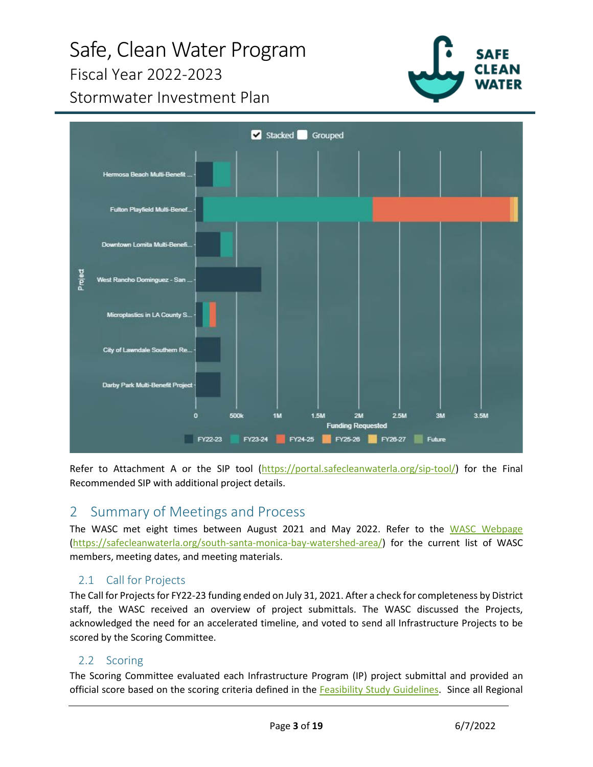# Safe, Clean Water Program Fiscal Year 2022-2023



Stormwater Investment Plan



Refer to Attachment A or the SIP tool [\(https://portal.safecleanwaterla.org/sip-tool/\)](https://portal.safecleanwaterla.org/sip-tool/) for the Final Recommended SIP with additional project details.

# <span id="page-2-0"></span>2 Summary of Meetings and Process

The WASC met eight times between August 2021 and May 2022. Refer to the [WASC Webpage](https://safecleanwaterla.org/south-santa-monica-bay-watershed-area/) [\(https://safecleanwaterla.org/south-santa-monica-bay-watershed-area/\)](https://safecleanwaterla.org/south-santa-monica-bay-watershed-area/) for the current list of WASC members, meeting dates, and meeting materials.

# 2.1 Call for Projects

The Call for Projects for FY22-23 funding ended on July 31, 2021. After a check for completeness by District staff, the WASC received an overview of project submittals. The WASC discussed the Projects, acknowledged the need for an accelerated timeline, and voted to send all Infrastructure Projects to be scored by the Scoring Committee.

# 2.2 Scoring

The Scoring Committee evaluated each Infrastructure Program (IP) project submittal and provided an official score based on the scoring criteria defined in the [Feasibility Study Guidelines.](https://safecleanwaterla.org/wp-content/uploads/2019/09/Feasibility-Study-Guidelines-20190917-FINAL-1.pdf) Since all Regional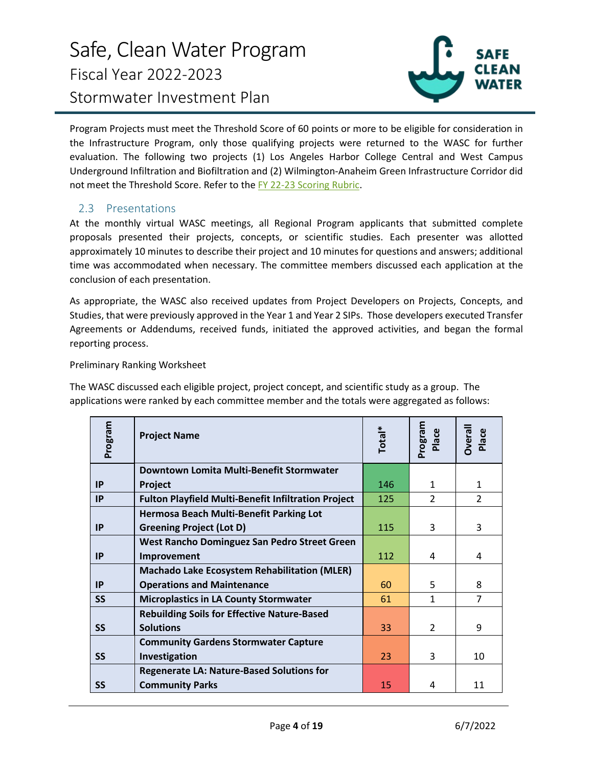

Program Projects must meet the Threshold Score of 60 points or more to be eligible for consideration in the Infrastructure Program, only those qualifying projects were returned to the WASC for further evaluation. The following two projects (1) Los Angeles Harbor College Central and West Campus Underground Infiltration and Biofiltration and (2) Wilmington-Anaheim Green Infrastructure Corridor did not meet the Threshold Score. Refer to the [FY 22-23 Scoring Rubric.](https://safecleanwaterla.org/wp-content/uploads/2022/02/SSMB-Scoring-Rubric-FY22-23.pdf)

# 2.3 Presentations

At the monthly virtual WASC meetings, all Regional Program applicants that submitted complete proposals presented their projects, concepts, or scientific studies. Each presenter was allotted approximately 10 minutes to describe their project and 10 minutes for questions and answers; additional time was accommodated when necessary. The committee members discussed each application at the conclusion of each presentation.

As appropriate, the WASC also received updates from Project Developers on Projects, Concepts, and Studies, that were previously approved in the Year 1 and Year 2 SIPs. Those developers executed Transfer Agreements or Addendums, received funds, initiated the approved activities, and began the formal reporting process.

#### Preliminary Ranking Worksheet

The WASC discussed each eligible project, project concept, and scientific study as a group. The applications were ranked by each committee member and the totals were aggregated as follows:

| Program   | <b>Project Name</b>                                        | Total* | meJaoJ <sub>c</sub><br>Place | <b>Overall</b><br>Place |
|-----------|------------------------------------------------------------|--------|------------------------------|-------------------------|
|           | Downtown Lomita Multi-Benefit Stormwater                   |        |                              |                         |
| IP        | Project                                                    | 146    | $\mathbf{1}$                 | $\mathbf{1}$            |
| IP        | <b>Fulton Playfield Multi-Benefit Infiltration Project</b> | 125    | $\mathcal{P}$                | $\overline{2}$          |
|           | <b>Hermosa Beach Multi-Benefit Parking Lot</b>             |        |                              |                         |
| <b>IP</b> | <b>Greening Project (Lot D)</b>                            | 115    | 3                            | 3                       |
|           | West Rancho Dominguez San Pedro Street Green               |        |                              |                         |
| IP        | Improvement                                                | 112    | 4                            | 4                       |
|           | <b>Machado Lake Ecosystem Rehabilitation (MLER)</b>        |        |                              |                         |
| IP        | <b>Operations and Maintenance</b>                          | 60     | 5                            | 8                       |
| <b>SS</b> | <b>Microplastics in LA County Stormwater</b>               | 61     | $\mathbf{1}$                 | $\overline{7}$          |
|           | <b>Rebuilding Soils for Effective Nature-Based</b>         |        |                              |                         |
| <b>SS</b> | <b>Solutions</b>                                           | 33     | $\mathcal{P}$                | 9                       |
|           | <b>Community Gardens Stormwater Capture</b>                |        |                              |                         |
| <b>SS</b> | Investigation                                              | 23     | 3                            | 10                      |
|           | <b>Regenerate LA: Nature-Based Solutions for</b>           |        |                              |                         |
| SS        | <b>Community Parks</b>                                     | 15     | 4                            | 11                      |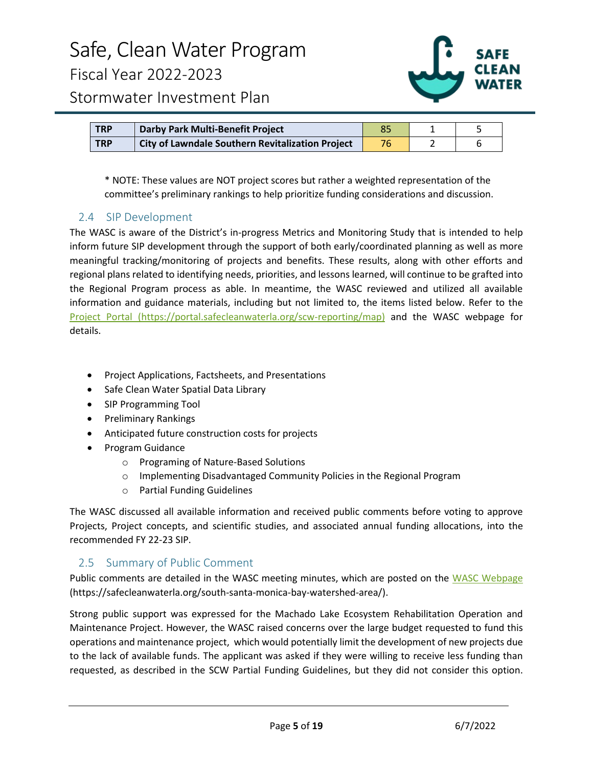

| <b>TRP</b> | Darby Park Multi-Benefit Project                        |  |  |
|------------|---------------------------------------------------------|--|--|
| <b>TRP</b> | <b>City of Lawndale Southern Revitalization Project</b> |  |  |

\* NOTE: These values are NOT project scores but rather a weighted representation of the committee's preliminary rankings to help prioritize funding considerations and discussion.

# 2.4 SIP Development

The WASC is aware of the District's in-progress Metrics and Monitoring Study that is intended to help inform future SIP development through the support of both early/coordinated planning as well as more meaningful tracking/monitoring of projects and benefits. These results, along with other efforts and regional plans related to identifying needs, priorities, and lessons learned, will continue to be grafted into the Regional Program process as able. In meantime, the WASC reviewed and utilized all available information and guidance materials, including but not limited to, the items listed below. Refer to the [Project Portal](https://portal.safecleanwaterla.org/scw-reporting/map) (https://portal.safecleanwaterla.org/scw-reporting/map) and the WASC webpage for details.

- Project Applications, Factsheets, and Presentations
- Safe Clean Water Spatial Data Library
- SIP Programming Tool
- Preliminary Rankings
- Anticipated future construction costs for projects
- Program Guidance
	- o Programing of Nature-Based Solutions
	- o Implementing Disadvantaged Community Policies in the Regional Program
	- o Partial Funding Guidelines

The WASC discussed all available information and received public comments before voting to approve Projects, Project concepts, and scientific studies, and associated annual funding allocations, into the recommended FY 22-23 SIP.

### 2.5 Summary of Public Comment

Public comments are detailed in the WASC meeting minutes, which are posted on the [WASC Webpage](https://safecleanwaterla.org/south-santa-monica-bay-watershed-area/) (https://safecleanwaterla.org/south-santa-monica-bay-watershed-area/).

Strong public support was expressed for the Machado Lake Ecosystem Rehabilitation Operation and Maintenance Project. However, the WASC raised concerns over the large budget requested to fund this operations and maintenance project, which would potentially limit the development of new projects due to the lack of available funds. The applicant was asked if they were willing to receive less funding than requested, as described in the SCW Partial Funding Guidelines, but they did not consider this option.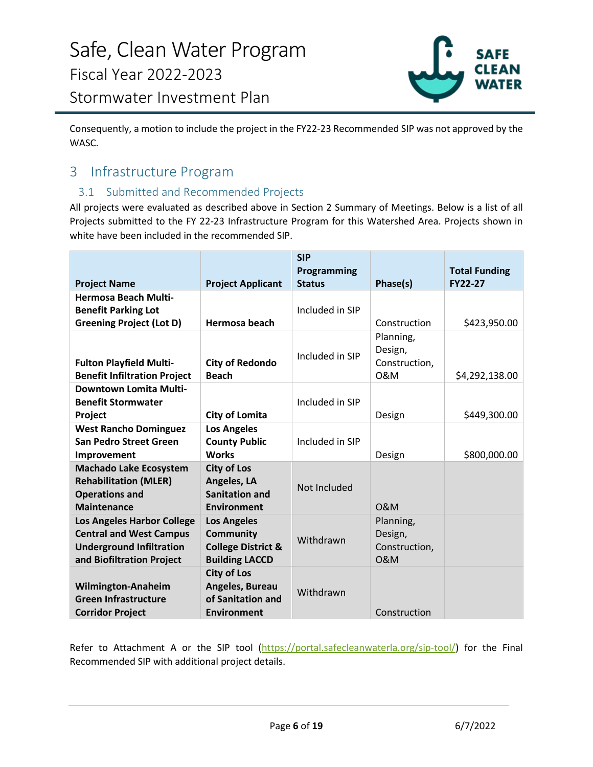

Consequently, a motion to include the project in the FY22-23 Recommended SIP was not approved by the WASC.

# <span id="page-5-0"></span>3 Infrastructure Program

# 3.1 Submitted and Recommended Projects

All projects were evaluated as described above in Section 2 Summary of Meetings. Below is a list of all Projects submitted to the FY 22-23 Infrastructure Program for this Watershed Area. Projects shown in white have been included in the recommended SIP.

|                                                                                                                                     |                                                                                                  | <b>SIP</b><br>Programming |                                                         | <b>Total Funding</b> |
|-------------------------------------------------------------------------------------------------------------------------------------|--------------------------------------------------------------------------------------------------|---------------------------|---------------------------------------------------------|----------------------|
| <b>Project Name</b>                                                                                                                 | <b>Project Applicant</b>                                                                         | <b>Status</b>             | Phase(s)                                                | <b>FY22-27</b>       |
| <b>Hermosa Beach Multi-</b><br><b>Benefit Parking Lot</b><br><b>Greening Project (Lot D)</b>                                        | <b>Hermosa beach</b>                                                                             | Included in SIP           | Construction                                            | \$423,950.00         |
| <b>Fulton Playfield Multi-</b><br><b>Benefit Infiltration Project</b>                                                               | <b>City of Redondo</b><br><b>Beach</b>                                                           | Included in SIP           | Planning,<br>Design,<br>Construction,<br>0&M            | \$4,292,138.00       |
| Downtown Lomita Multi-<br><b>Benefit Stormwater</b><br>Project                                                                      | <b>City of Lomita</b>                                                                            | Included in SIP           | Design                                                  | \$449,300.00         |
| <b>West Rancho Dominguez</b><br><b>San Pedro Street Green</b><br>Improvement                                                        | <b>Los Angeles</b><br><b>County Public</b><br><b>Works</b>                                       | Included in SIP           | Design                                                  | \$800,000.00         |
| <b>Machado Lake Ecosystem</b><br><b>Rehabilitation (MLER)</b><br><b>Operations and</b><br><b>Maintenance</b>                        | <b>City of Los</b><br>Angeles, LA<br><b>Sanitation and</b><br>Environment                        | Not Included              | <b>O&amp;M</b>                                          |                      |
| <b>Los Angeles Harbor College</b><br><b>Central and West Campus</b><br><b>Underground Infiltration</b><br>and Biofiltration Project | <b>Los Angeles</b><br><b>Community</b><br><b>College District &amp;</b><br><b>Building LACCD</b> | Withdrawn                 | Planning,<br>Design,<br>Construction,<br><b>O&amp;M</b> |                      |
| <b>Wilmington-Anaheim</b><br><b>Green Infrastructure</b><br><b>Corridor Project</b>                                                 | <b>City of Los</b><br>Angeles, Bureau<br>of Sanitation and<br><b>Environment</b>                 | Withdrawn                 | Construction                                            |                      |

Refer to Attachment A or the SIP tool [\(https://portal.safecleanwaterla.org/sip-tool/\)](https://portal.safecleanwaterla.org/sip-tool/) for the Final Recommended SIP with additional project details.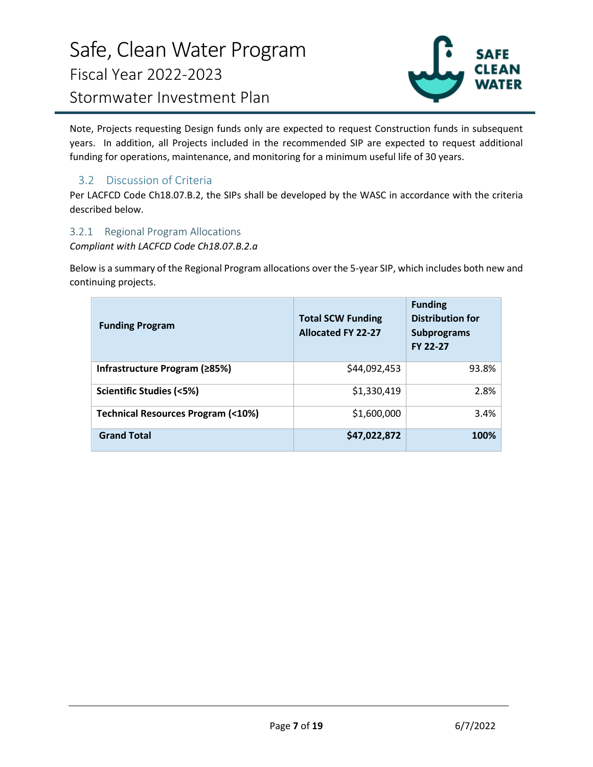

Note, Projects requesting Design funds only are expected to request Construction funds in subsequent years. In addition, all Projects included in the recommended SIP are expected to request additional funding for operations, maintenance, and monitoring for a minimum useful life of 30 years.

# 3.2 Discussion of Criteria

Per LACFCD Code Ch18.07.B.2, the SIPs shall be developed by the WASC in accordance with the criteria described below.

### 3.2.1 Regional Program Allocations

*Compliant with LACFCD Code Ch18.07.B.2.a*

Below is a summary of the Regional Program allocations over the 5-year SIP, which includes both new and continuing projects.

| <b>Funding Program</b>                       | <b>Total SCW Funding</b><br><b>Allocated FY 22-27</b> | <b>Funding</b><br><b>Distribution for</b><br><b>Subprograms</b><br><b>FY 22-27</b> |
|----------------------------------------------|-------------------------------------------------------|------------------------------------------------------------------------------------|
| Infrastructure Program (≥85%)                | \$44,092,453                                          | 93.8%                                                                              |
| Scientific Studies (<5%)                     | \$1,330,419                                           | 2.8%                                                                               |
| <b>Technical Resources Program (&lt;10%)</b> | \$1,600,000                                           | 3.4%                                                                               |
| <b>Grand Total</b>                           | \$47,022,872                                          | 100%                                                                               |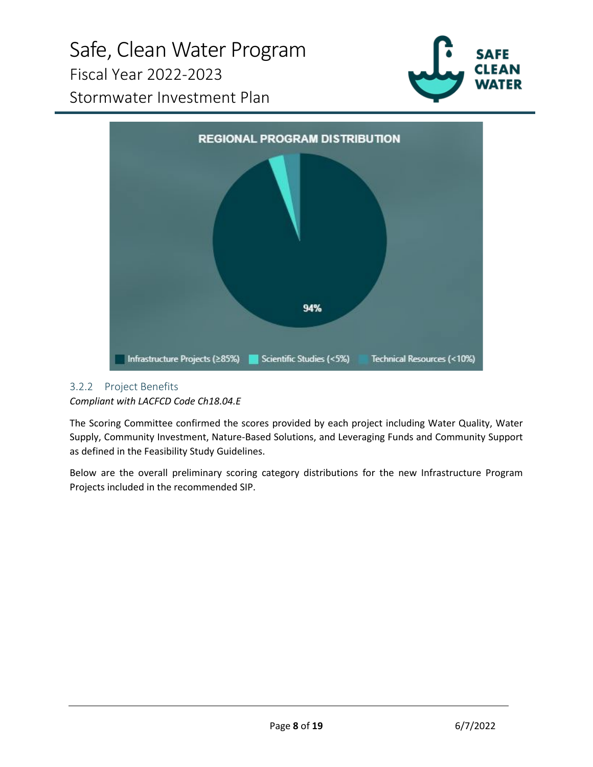# Safe, Clean Water Program Fiscal Year 2022-2023 Stormwater Investment Plan





# 3.2.2 Project Benefits

*Compliant with LACFCD Code Ch18.04.E*

The Scoring Committee confirmed the scores provided by each project including Water Quality, Water Supply, Community Investment, Nature-Based Solutions, and Leveraging Funds and Community Support as defined in the Feasibility Study Guidelines.

Below are the overall preliminary scoring category distributions for the new Infrastructure Program Projects included in the recommended SIP.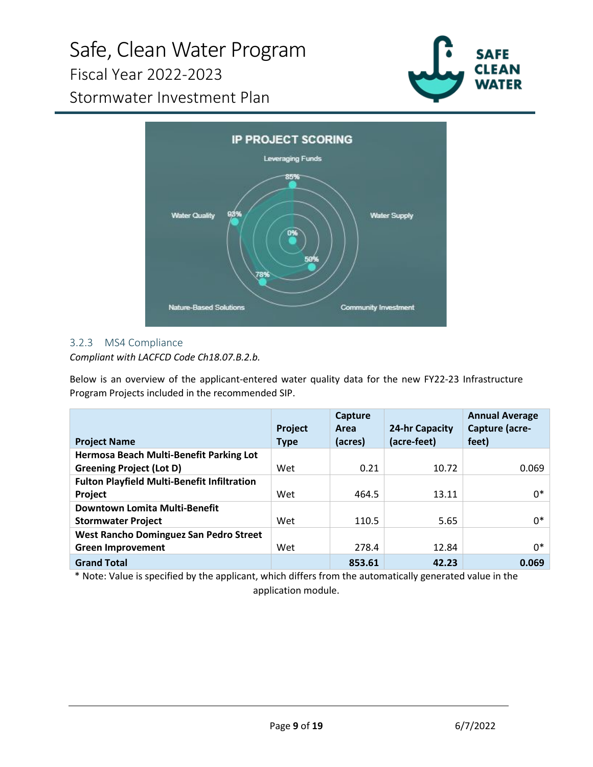# Safe, Clean Water Program Fiscal Year 2022-2023 Stormwater Investment Plan



**IP PROJECT SCORING** Leveraging Funds 85% 93% **Water Quality Water Supply** 0% **Nature-Based Solutions Community Investment** 

# 3.2.3 MS4 Compliance

# *Compliant with LACFCD Code Ch18.07.B.2.b.*

Below is an overview of the applicant-entered water quality data for the new FY22-23 Infrastructure Program Projects included in the recommended SIP.

|                                                    | Project     | Capture<br>Area | 24-hr Capacity | <b>Annual Average</b><br>Capture (acre- |
|----------------------------------------------------|-------------|-----------------|----------------|-----------------------------------------|
| <b>Project Name</b>                                | <b>Type</b> | (acres)         | (acre-feet)    | feet)                                   |
| Hermosa Beach Multi-Benefit Parking Lot            |             |                 |                |                                         |
| <b>Greening Project (Lot D)</b>                    | Wet         | 0.21            | 10.72          | 0.069                                   |
| <b>Fulton Playfield Multi-Benefit Infiltration</b> |             |                 |                |                                         |
| Project                                            | Wet         | 464.5           | 13.11          | $0*$                                    |
| Downtown Lomita Multi-Benefit                      |             |                 |                |                                         |
| <b>Stormwater Project</b>                          | Wet         | 110.5           | 5.65           | 0*                                      |
| West Rancho Dominguez San Pedro Street             |             |                 |                |                                         |
| <b>Green Improvement</b>                           | Wet         | 278.4           | 12.84          | 0*                                      |
| <b>Grand Total</b>                                 |             | 853.61          | 42.23          | 0.069                                   |

\* Note: Value is specified by the applicant, which differs from the automatically generated value in the application module.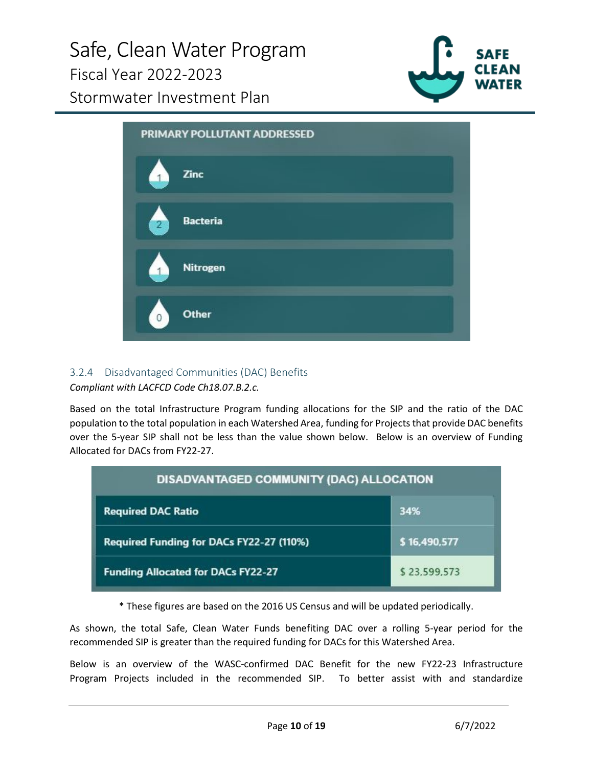

PRIMARY POLLUTANT ADDRESSED Zinc **Bacteria Nitrogen Other** 

### 3.2.4 Disadvantaged Communities (DAC) Benefits *Compliant with LACFCD Code Ch18.07.B.2.c.*

Based on the total Infrastructure Program funding allocations for the SIP and the ratio of the DAC population to the total population in each Watershed Area, funding for Projects that provide DAC benefits over the 5-year SIP shall not be less than the value shown below. Below is an overview of Funding Allocated for DACs from FY22-27.

| DISADVANTAGED COMMUNITY (DAC) ALLOCATION  |              |  |  |  |
|-------------------------------------------|--------------|--|--|--|
| <b>Required DAC Ratio</b>                 | 34%          |  |  |  |
| Required Funding for DACs FY22-27 (110%)  | \$16,490,577 |  |  |  |
| <b>Funding Allocated for DACs FY22-27</b> | \$23,599,573 |  |  |  |

\* These figures are based on the 2016 US Census and will be updated periodically.

As shown, the total Safe, Clean Water Funds benefiting DAC over a rolling 5-year period for the recommended SIP is greater than the required funding for DACs for this Watershed Area.

Below is an overview of the WASC-confirmed DAC Benefit for the new FY22-23 Infrastructure Program Projects included in the recommended SIP. To better assist with and standardize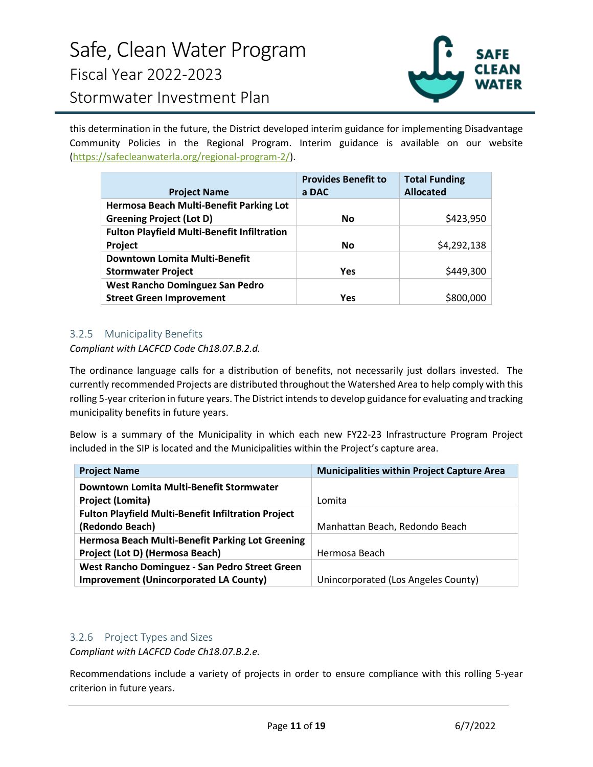

this determination in the future, the District developed interim guidance for implementing Disadvantage Community Policies in the Regional Program. Interim guidance is available on our website [\(https://safecleanwaterla.org/regional-program-2/\)](https://safecleanwaterla.org/regional-program-2/).

|                                                    | <b>Provides Benefit to</b> | <b>Total Funding</b> |
|----------------------------------------------------|----------------------------|----------------------|
| <b>Project Name</b>                                | a DAC                      | <b>Allocated</b>     |
| Hermosa Beach Multi-Benefit Parking Lot            |                            |                      |
| <b>Greening Project (Lot D)</b>                    | <b>No</b>                  | \$423,950            |
| <b>Fulton Playfield Multi-Benefit Infiltration</b> |                            |                      |
| Project                                            | <b>No</b>                  | \$4,292,138          |
| Downtown Lomita Multi-Benefit                      |                            |                      |
| <b>Stormwater Project</b>                          | <b>Yes</b>                 | \$449,300            |
| West Rancho Dominguez San Pedro                    |                            |                      |
| <b>Street Green Improvement</b>                    | Yes                        | \$800,0              |

# 3.2.5 Municipality Benefits

### *Compliant with LACFCD Code Ch18.07.B.2.d.*

The ordinance language calls for a distribution of benefits, not necessarily just dollars invested. The currently recommended Projects are distributed throughout the Watershed Area to help comply with this rolling 5-year criterion in future years. The District intends to develop guidance for evaluating and tracking municipality benefits in future years.

Below is a summary of the Municipality in which each new FY22-23 Infrastructure Program Project included in the SIP is located and the Municipalities within the Project's capture area.

| <b>Project Name</b>                                        | <b>Municipalities within Project Capture Area</b> |
|------------------------------------------------------------|---------------------------------------------------|
| Downtown Lomita Multi-Benefit Stormwater                   |                                                   |
| <b>Project (Lomita)</b>                                    | Lomita                                            |
| <b>Fulton Playfield Multi-Benefit Infiltration Project</b> |                                                   |
| (Redondo Beach)                                            | Manhattan Beach, Redondo Beach                    |
| Hermosa Beach Multi-Benefit Parking Lot Greening           |                                                   |
| Project (Lot D) (Hermosa Beach)                            | Hermosa Beach                                     |
| West Rancho Dominguez - San Pedro Street Green             |                                                   |
| <b>Improvement (Unincorporated LA County)</b>              | Unincorporated (Los Angeles County)               |

#### 3.2.6 Project Types and Sizes

*Compliant with LACFCD Code Ch18.07.B.2.e.* 

Recommendations include a variety of projects in order to ensure compliance with this rolling 5-year criterion in future years.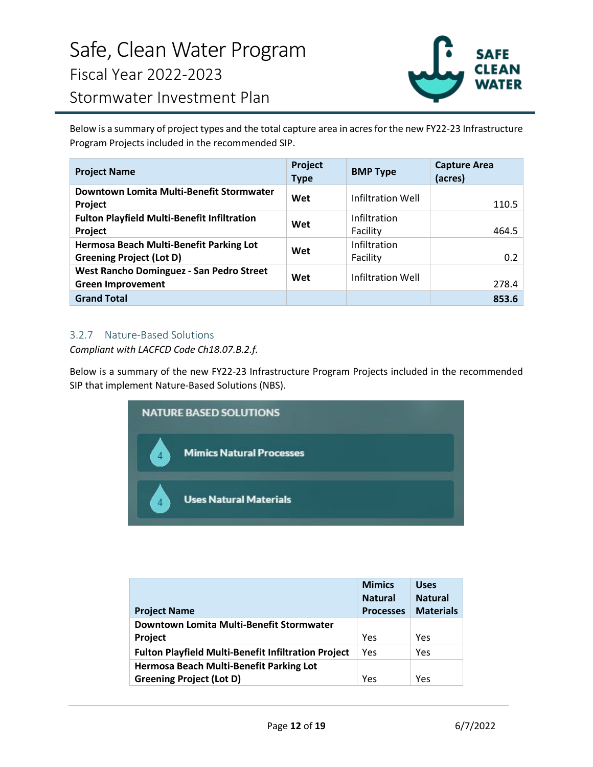

Below is a summary of project types and the total capture area in acres for the new FY22-23 Infrastructure Program Projects included in the recommended SIP.

| <b>Project Name</b>                                                        | Project<br><b>Type</b> | <b>BMP Type</b>          | <b>Capture Area</b><br>(acres) |
|----------------------------------------------------------------------------|------------------------|--------------------------|--------------------------------|
| Downtown Lomita Multi-Benefit Stormwater<br>Project                        | Wet                    | Infiltration Well        | 110.5                          |
| <b>Fulton Playfield Multi-Benefit Infiltration</b><br>Project              | Wet                    | Infiltration<br>Facility | 464.5                          |
| Hermosa Beach Multi-Benefit Parking Lot<br><b>Greening Project (Lot D)</b> | Wet                    | Infiltration<br>Facility | 0.2                            |
| West Rancho Dominguez - San Pedro Street<br><b>Green Improvement</b>       | Wet                    | Infiltration Well        | 278.4                          |
| <b>Grand Total</b>                                                         |                        |                          | 853.6                          |

# 3.2.7 Nature-Based Solutions

*Compliant with LACFCD Code Ch18.07.B.2.f.* 

Below is a summary of the new FY22-23 Infrastructure Program Projects included in the recommended SIP that implement Nature-Based Solutions (NBS).

| <b>NATURE BASED SOLUTIONS</b>   |
|---------------------------------|
| <b>Mimics Natural Processes</b> |
| <b>Uses Natural Materials</b>   |

|                                                            | <b>Mimics</b><br><b>Natural</b> | <b>Uses</b><br><b>Natural</b> |
|------------------------------------------------------------|---------------------------------|-------------------------------|
| <b>Project Name</b>                                        | <b>Processes</b>                | <b>Materials</b>              |
| Downtown Lomita Multi-Benefit Stormwater                   |                                 |                               |
| <b>Project</b>                                             | Yes                             | Yes                           |
| <b>Fulton Playfield Multi-Benefit Infiltration Project</b> | Yes                             | Yes                           |
| Hermosa Beach Multi-Benefit Parking Lot                    |                                 |                               |
| <b>Greening Project (Lot D)</b>                            | Yes                             | Yes                           |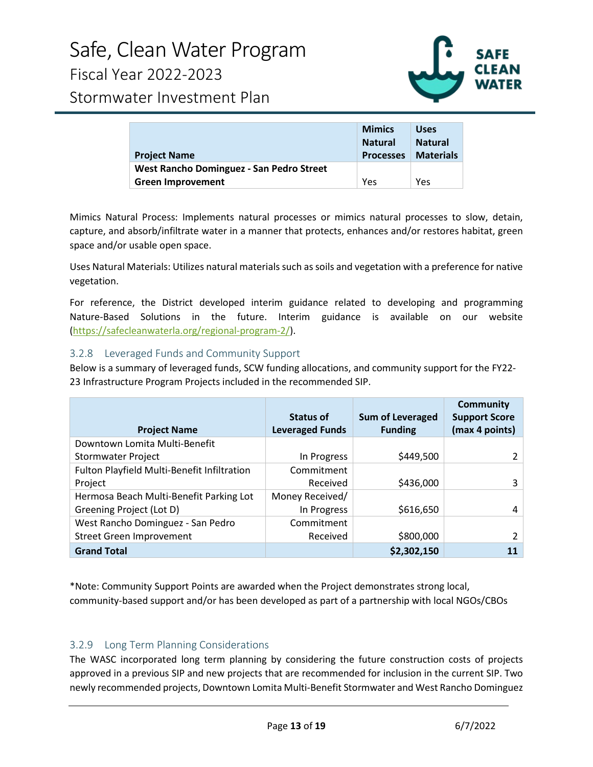

|                                          | <b>Mimics</b>    | <b>Uses</b>      |
|------------------------------------------|------------------|------------------|
|                                          | <b>Natural</b>   | <b>Natural</b>   |
| <b>Project Name</b>                      | <b>Processes</b> | <b>Materials</b> |
| West Rancho Dominguez - San Pedro Street |                  |                  |
| <b>Green Improvement</b>                 | Yes              | Yes              |

Mimics Natural Process: Implements natural processes or mimics natural processes to slow, detain, capture, and absorb/infiltrate water in a manner that protects, enhances and/or restores habitat, green space and/or usable open space.

Uses Natural Materials: Utilizes natural materials such as soils and vegetation with a preference for native vegetation.

For reference, the District developed interim guidance related to developing and programming Nature-Based Solutions in the future. Interim guidance is available on our website [\(https://safecleanwaterla.org/regional-program-2/\)](https://safecleanwaterla.org/regional-program-2/).

### 3.2.8 Leveraged Funds and Community Support

Below is a summary of leveraged funds, SCW funding allocations, and community support for the FY22- 23 Infrastructure Program Projects included in the recommended SIP.

| <b>Project Name</b>                         | <b>Status of</b><br><b>Leveraged Funds</b> | <b>Sum of Leveraged</b><br><b>Funding</b> | <b>Community</b><br><b>Support Score</b><br>(max 4 points) |
|---------------------------------------------|--------------------------------------------|-------------------------------------------|------------------------------------------------------------|
| Downtown Lomita Multi-Benefit               |                                            |                                           |                                                            |
| <b>Stormwater Project</b>                   | In Progress                                | \$449,500                                 |                                                            |
| Fulton Playfield Multi-Benefit Infiltration | Commitment                                 |                                           |                                                            |
| Project                                     | Received                                   | \$436,000                                 | 3                                                          |
| Hermosa Beach Multi-Benefit Parking Lot     | Money Received/                            |                                           |                                                            |
| Greening Project (Lot D)                    | In Progress                                | \$616,650                                 | 4                                                          |
| West Rancho Dominguez - San Pedro           | Commitment                                 |                                           |                                                            |
| Street Green Improvement                    | Received                                   | \$800,000                                 |                                                            |
| <b>Grand Total</b>                          |                                            | \$2,302,150                               | 11                                                         |

\*Note: Community Support Points are awarded when the Project demonstrates strong local, community-based support and/or has been developed as part of a partnership with local NGOs/CBOs

# 3.2.9 Long Term Planning Considerations

The WASC incorporated long term planning by considering the future construction costs of projects approved in a previous SIP and new projects that are recommended for inclusion in the current SIP. Two newly recommended projects, Downtown Lomita Multi-Benefit Stormwater and West Rancho Dominguez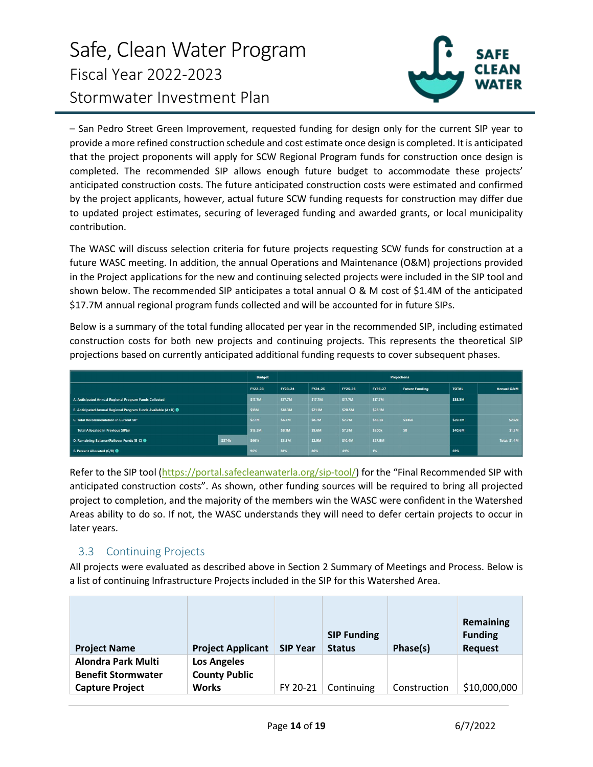# Safe, Clean Water Program Fiscal Year 2022-2023 Stormwater Investment Plan



– San Pedro Street Green Improvement, requested funding for design only for the current SIP year to provide a more refined construction schedule and cost estimate once design is completed. It is anticipated that the project proponents will apply for SCW Regional Program funds for construction once design is completed. The recommended SIP allows enough future budget to accommodate these projects' anticipated construction costs. The future anticipated construction costs were estimated and confirmed by the project applicants, however, actual future SCW funding requests for construction may differ due to updated project estimates, securing of leveraged funding and awarded grants, or local municipality contribution.

The WASC will discuss selection criteria for future projects requesting SCW funds for construction at a future WASC meeting. In addition, the annual Operations and Maintenance (O&M) projections provided in the Project applications for the new and continuing selected projects were included in the SIP tool and shown below. The recommended SIP anticipates a total annual O & M cost of \$1.4M of the anticipated \$17.7M annual regional program funds collected and will be accounted for in future SIPs.

Below is a summary of the total funding allocated per year in the recommended SIP, including estimated construction costs for both new projects and continuing projects. This represents the theoretical SIP projections based on currently anticipated additional funding requests to cover subsequent phases.

| <b>Budget</b>                                                             |        |         | <b>Projections</b> |              |         |         |                       |              |                       |
|---------------------------------------------------------------------------|--------|---------|--------------------|--------------|---------|---------|-----------------------|--------------|-----------------------|
|                                                                           |        | FY22-23 | FY23-24            | FY24-25      | FY25-26 | FY26-27 | <b>Future Funding</b> | <b>TOTAL</b> | <b>Annual O&amp;M</b> |
| A. Anticipated Annual Regional Program Funds Collected                    |        | \$17.7M | \$17.7M            | \$17.7M      | \$17.7M | \$17.7M |                       | \$88.3M      |                       |
| B. Anticipated Annual Regional Program Funds Available (A+D) <sup>3</sup> |        | \$18M   | \$18.3M            | \$21.1M      | \$20.5M | \$28.1M |                       |              |                       |
| <b>C. Total Recommendation in Current SIP</b>                             |        | \$2.1M  | \$6.7M             | <b>S8.7M</b> | \$2.7M  | \$46.5k | \$346k                | \$20.3M      | \$232k                |
| <b>Total Allocated in Previous SIP(s)</b>                                 |        | \$15.3M | \$8.1M             | \$9.6M       | \$7.3M  | \$200k  | \$0                   | \$40.6M      | \$1.2M                |
| D. Remaining Balance/Rollover Funds (B-C) <sup>8</sup>                    | \$374k | \$661k  | \$3.5M             | \$2.9M       | \$10.4M | \$27.9M |                       |              | Total: \$1.4M         |
| E. Percent Allocated (C/B) <sup>6</sup>                                   |        | 96%     | 81%                | 86%          | 49%     | 1%      |                       | 69%          |                       |

Refer to the SIP tool [\(https://portal.safecleanwaterla.org/sip-tool/\)](https://portal.safecleanwaterla.org/sip-tool/) for the "Final Recommended SIP with anticipated construction costs". As shown, other funding sources will be required to bring all projected project to completion, and the majority of the members win the WASC were confident in the Watershed Areas ability to do so. If not, the WASC understands they will need to defer certain projects to occur in later years.

# 3.3 Continuing Projects

All projects were evaluated as described above in Section 2 Summary of Meetings and Process. Below is a list of continuing Infrastructure Projects included in the SIP for this Watershed Area.

| <b>Project Applicant</b>                   | <b>SIP Year</b> | <b>SIP Funding</b><br><b>Status</b> | Phase(s)   | <b>Remaining</b><br><b>Funding</b><br><b>Request</b> |
|--------------------------------------------|-----------------|-------------------------------------|------------|------------------------------------------------------|
| <b>Los Angeles</b><br><b>County Public</b> |                 |                                     |            | \$10,000,000                                         |
|                                            | <b>Works</b>    | FY 20-21                            | Continuing | Construction                                         |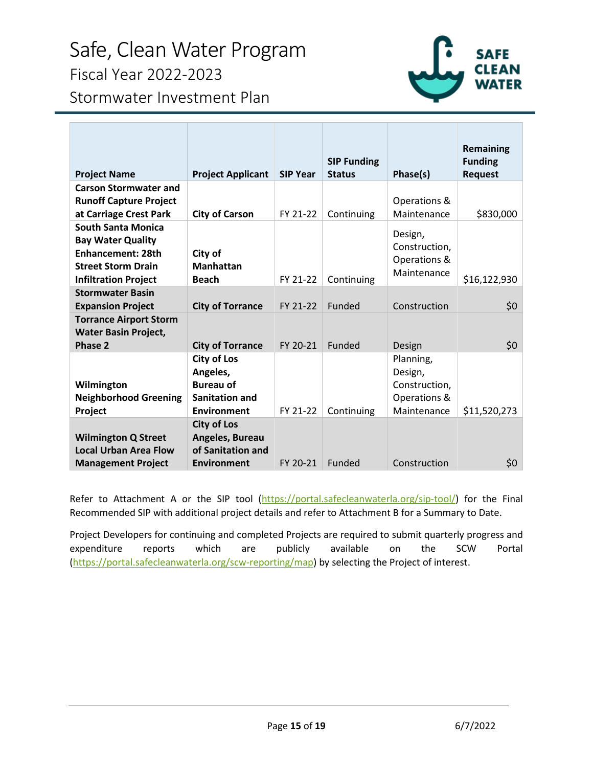# Safe, Clean Water Program Fiscal Year 2022-2023



Stormwater Investment Plan

| <b>Project Name</b>                                                                                                                           | <b>Project Applicant</b>                                                                                                     | <b>SIP Year</b>      | <b>SIP Funding</b><br><b>Status</b> | Phase(s)                                                                       | Remaining<br><b>Funding</b><br><b>Request</b> |
|-----------------------------------------------------------------------------------------------------------------------------------------------|------------------------------------------------------------------------------------------------------------------------------|----------------------|-------------------------------------|--------------------------------------------------------------------------------|-----------------------------------------------|
| <b>Carson Stormwater and</b><br><b>Runoff Capture Project</b><br>at Carriage Crest Park                                                       | <b>City of Carson</b>                                                                                                        | FY 21-22             | Continuing                          | Operations &<br>Maintenance                                                    | \$830,000                                     |
| <b>South Santa Monica</b><br><b>Bay Water Quality</b><br><b>Enhancement: 28th</b><br><b>Street Storm Drain</b><br><b>Infiltration Project</b> | City of<br><b>Manhattan</b><br><b>Beach</b>                                                                                  | FY 21-22             | Continuing                          | Design,<br>Construction,<br>Operations &<br>Maintenance                        | \$16,122,930                                  |
| <b>Stormwater Basin</b><br><b>Expansion Project</b><br><b>Torrance Airport Storm</b><br><b>Water Basin Project,</b>                           | <b>City of Torrance</b>                                                                                                      | FY 21-22             | Funded                              | Construction                                                                   | \$0                                           |
| Phase 2<br>Wilmington<br><b>Neighborhood Greening</b><br>Project                                                                              | <b>City of Torrance</b><br><b>City of Los</b><br>Angeles,<br><b>Bureau of</b><br><b>Sanitation and</b><br><b>Environment</b> | FY 20-21<br>FY 21-22 | Funded<br>Continuing                | Design<br>Planning,<br>Design,<br>Construction,<br>Operations &<br>Maintenance | \$0<br>\$11,520,273                           |
| <b>Wilmington Q Street</b><br><b>Local Urban Area Flow</b><br><b>Management Project</b>                                                       | <b>City of Los</b><br>Angeles, Bureau<br>of Sanitation and<br>Environment                                                    | FY 20-21             | Funded                              | Construction                                                                   | \$0                                           |

Refer to Attachment A or the SIP tool [\(https://portal.safecleanwaterla.org/sip-tool/\)](https://portal.safecleanwaterla.org/sip-tool/) for the Final Recommended SIP with additional project details and refer to Attachment B for a Summary to Date.

Project Developers for continuing and completed Projects are required to submit quarterly progress and expenditure reports which are publicly available on the SCW Portal [\(https://portal.safecleanwaterla.org/scw-reporting/map\)](https://portal.safecleanwaterla.org/scw-reporting/map) by selecting the Project of interest.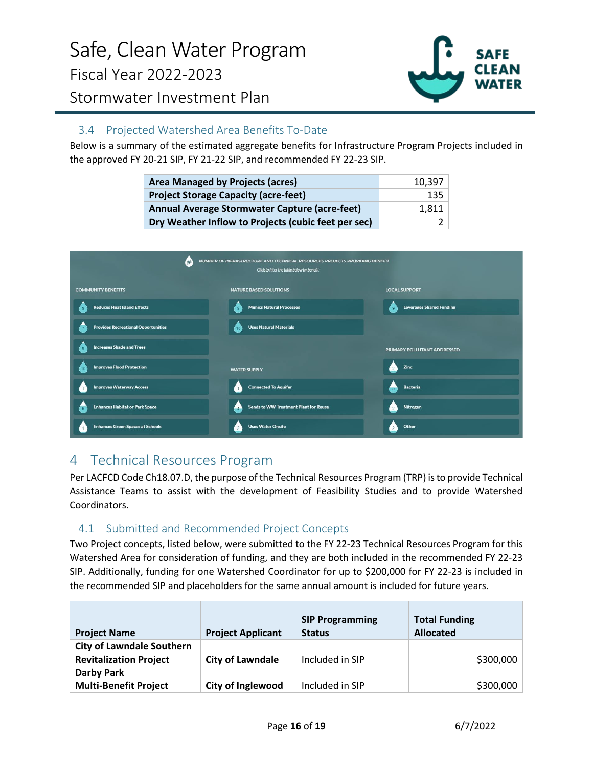

# 3.4 Projected Watershed Area Benefits To-Date

Below is a summary of the estimated aggregate benefits for Infrastructure Program Projects included in the approved FY 20-21 SIP, FY 21-22 SIP, and recommended FY 22-23 SIP.

| <b>Area Managed by Projects (acres)</b>             | 10.397 |
|-----------------------------------------------------|--------|
| <b>Project Storage Capacity (acre-feet)</b>         | 135    |
| Annual Average Stormwater Capture (acre-feet)       | 1.811  |
| Dry Weather Inflow to Projects (cubic feet per sec) |        |



# <span id="page-15-0"></span>4 Technical Resources Program

Per LACFCD Code Ch18.07.D, the purpose of the Technical Resources Program (TRP) is to provide Technical Assistance Teams to assist with the development of Feasibility Studies and to provide Watershed Coordinators.

# 4.1 Submitted and Recommended Project Concepts

Two Project concepts, listed below, were submitted to the FY 22-23 Technical Resources Program for this Watershed Area for consideration of funding, and they are both included in the recommended FY 22-23 SIP. Additionally, funding for one Watershed Coordinator for up to \$200,000 for FY 22-23 is included in the recommended SIP and placeholders for the same annual amount is included for future years.

| <b>Project Name</b>                                               | <b>Project Applicant</b> | <b>SIP Programming</b><br><b>Status</b> | <b>Total Funding</b><br><b>Allocated</b> |
|-------------------------------------------------------------------|--------------------------|-----------------------------------------|------------------------------------------|
| <b>City of Lawndale Southern</b><br><b>Revitalization Project</b> | <b>City of Lawndale</b>  | Included in SIP                         | \$300,000                                |
| Darby Park<br><b>Multi-Benefit Project</b>                        | City of Inglewood        | Included in SIP                         | \$300,000                                |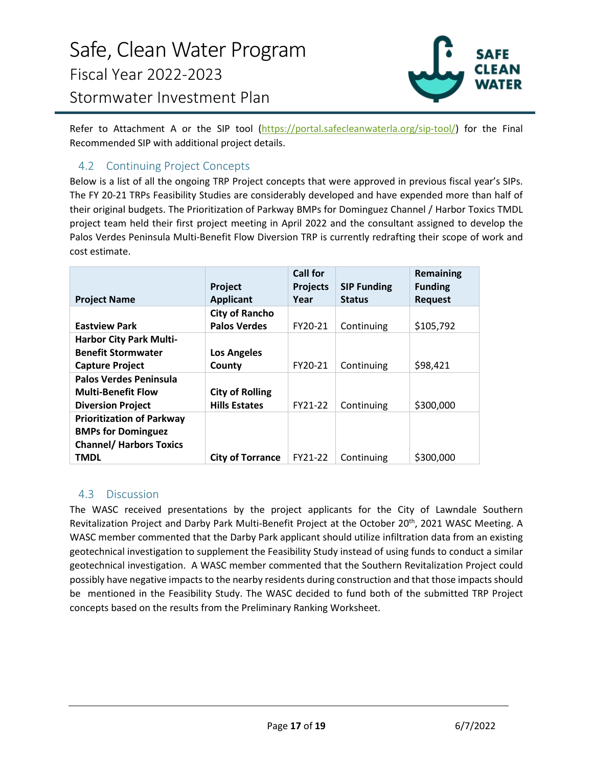

Refer to Attachment A or the SIP tool [\(https://portal.safecleanwaterla.org/sip-tool/\)](https://portal.safecleanwaterla.org/sip-tool/) for the Final Recommended SIP with additional project details.

# 4.2 Continuing Project Concepts

Below is a list of all the ongoing TRP Project concepts that were approved in previous fiscal year's SIPs. The FY 20-21 TRPs Feasibility Studies are considerably developed and have expended more than half of their original budgets. The Prioritization of Parkway BMPs for Dominguez Channel / Harbor Toxics TMDL project team held their first project meeting in April 2022 and the consultant assigned to develop the Palos Verdes Peninsula Multi-Benefit Flow Diversion TRP is currently redrafting their scope of work and cost estimate.

|                                  | Project                 | <b>Call for</b><br><b>Projects</b> | <b>SIP Funding</b> | <b>Remaining</b><br><b>Funding</b> |
|----------------------------------|-------------------------|------------------------------------|--------------------|------------------------------------|
| <b>Project Name</b>              | <b>Applicant</b>        | Year                               | <b>Status</b>      | <b>Request</b>                     |
|                                  | <b>City of Rancho</b>   |                                    |                    |                                    |
| <b>Eastview Park</b>             | <b>Palos Verdes</b>     | FY20-21                            | Continuing         | \$105,792                          |
| <b>Harbor City Park Multi-</b>   |                         |                                    |                    |                                    |
| <b>Benefit Stormwater</b>        | <b>Los Angeles</b>      |                                    |                    |                                    |
| <b>Capture Project</b>           | County                  | FY20-21                            | Continuing         | \$98,421                           |
| Palos Verdes Peninsula           |                         |                                    |                    |                                    |
| <b>Multi-Benefit Flow</b>        | <b>City of Rolling</b>  |                                    |                    |                                    |
| <b>Diversion Project</b>         | <b>Hills Estates</b>    | FY21-22                            | Continuing         | \$300,000                          |
| <b>Prioritization of Parkway</b> |                         |                                    |                    |                                    |
| <b>BMPs for Dominguez</b>        |                         |                                    |                    |                                    |
| <b>Channel/ Harbors Toxics</b>   |                         |                                    |                    |                                    |
| TMDL                             | <b>City of Torrance</b> | FY21-22                            | Continuing         | \$300,000                          |

# 4.3 Discussion

The WASC received presentations by the project applicants for the City of Lawndale Southern Revitalization Project and Darby Park Multi-Benefit Project at the October 20<sup>th</sup>, 2021 WASC Meeting. A WASC member commented that the Darby Park applicant should utilize infiltration data from an existing geotechnical investigation to supplement the Feasibility Study instead of using funds to conduct a similar geotechnical investigation. A WASC member commented that the Southern Revitalization Project could possibly have negative impacts to the nearby residents during construction and that those impacts should be mentioned in the Feasibility Study. The WASC decided to fund both of the submitted TRP Project concepts based on the results from the Preliminary Ranking Worksheet.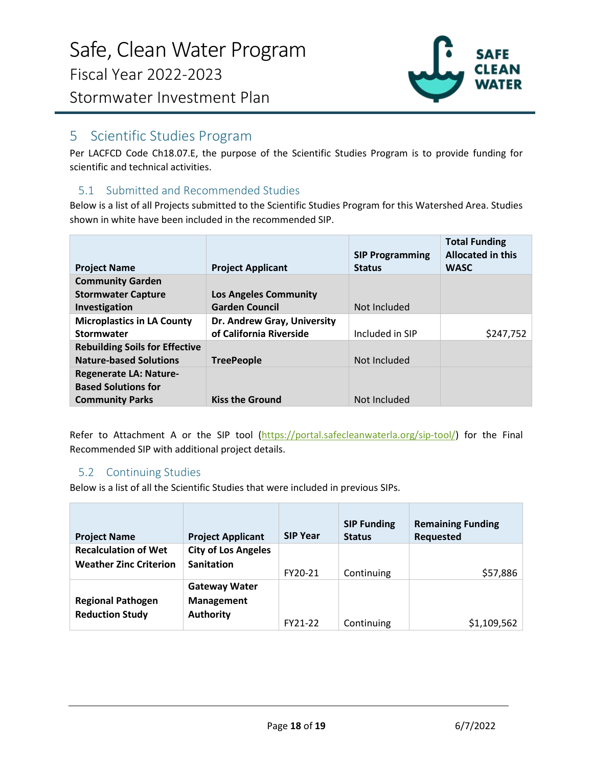

# <span id="page-17-0"></span>5 Scientific Studies Program

Per LACFCD Code Ch18.07.E, the purpose of the Scientific Studies Program is to provide funding for scientific and technical activities.

# 5.1 Submitted and Recommended Studies

Below is a list of all Projects submitted to the Scientific Studies Program for this Watershed Area. Studies shown in white have been included in the recommended SIP.

|                                       |                              | <b>SIP Programming</b> | <b>Total Funding</b><br><b>Allocated in this</b> |
|---------------------------------------|------------------------------|------------------------|--------------------------------------------------|
| <b>Project Name</b>                   | <b>Project Applicant</b>     | <b>Status</b>          | <b>WASC</b>                                      |
| <b>Community Garden</b>               |                              |                        |                                                  |
| <b>Stormwater Capture</b>             | <b>Los Angeles Community</b> |                        |                                                  |
| Investigation                         | <b>Garden Council</b>        | Not Included           |                                                  |
| <b>Microplastics in LA County</b>     | Dr. Andrew Gray, University  |                        |                                                  |
| Stormwater                            | of California Riverside      | Included in SIP        | \$247,752                                        |
| <b>Rebuilding Soils for Effective</b> |                              |                        |                                                  |
| <b>Nature-based Solutions</b>         | <b>TreePeople</b>            | Not Included           |                                                  |
| <b>Regenerate LA: Nature-</b>         |                              |                        |                                                  |
| <b>Based Solutions for</b>            |                              |                        |                                                  |
| <b>Community Parks</b>                | <b>Kiss the Ground</b>       | Not Included           |                                                  |

Refer to Attachment A or the SIP tool [\(https://portal.safecleanwaterla.org/sip-tool/\)](https://portal.safecleanwaterla.org/sip-tool/) for the Final Recommended SIP with additional project details.

# 5.2 Continuing Studies

Below is a list of all the Scientific Studies that were included in previous SIPs.

| <b>Project Name</b>                                          | <b>Project Applicant</b>                                      | <b>SIP Year</b> | <b>SIP Funding</b><br><b>Status</b> | <b>Remaining Funding</b><br><b>Requested</b> |
|--------------------------------------------------------------|---------------------------------------------------------------|-----------------|-------------------------------------|----------------------------------------------|
| <b>Recalculation of Wet</b><br><b>Weather Zinc Criterion</b> | <b>City of Los Angeles</b><br><b>Sanitation</b>               | FY20-21         | Continuing                          | \$57,886                                     |
| <b>Regional Pathogen</b><br><b>Reduction Study</b>           | <b>Gateway Water</b><br><b>Management</b><br><b>Authority</b> | FY21-22         | Continuing                          | \$1,109,562                                  |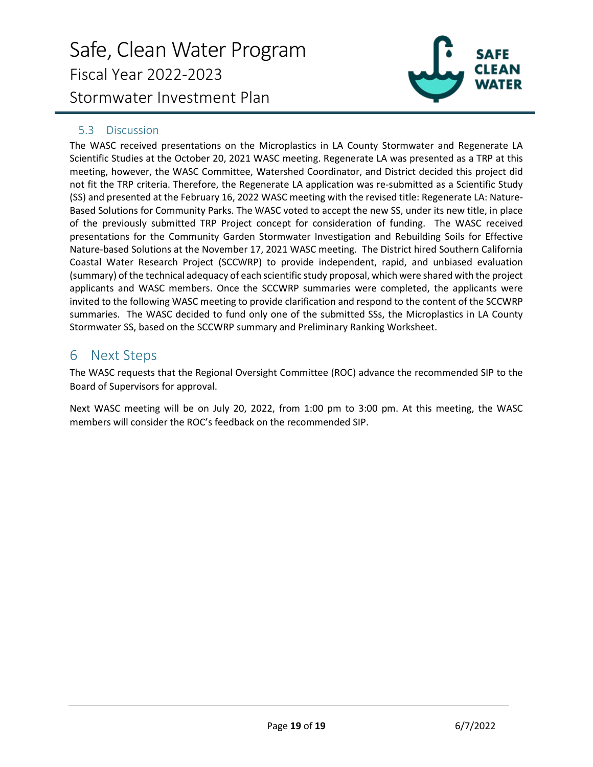# Safe, Clean Water Program Fiscal Year 2022-2023 Stormwater Investment Plan



### 5.3 Discussion

The WASC received presentations on the Microplastics in LA County Stormwater and Regenerate LA Scientific Studies at the October 20, 2021 WASC meeting. Regenerate LA was presented as a TRP at this meeting, however, the WASC Committee, Watershed Coordinator, and District decided this project did not fit the TRP criteria. Therefore, the Regenerate LA application was re-submitted as a Scientific Study (SS) and presented at the February 16, 2022 WASC meeting with the revised title: Regenerate LA: Nature-Based Solutions for Community Parks. The WASC voted to accept the new SS, under its new title, in place of the previously submitted TRP Project concept for consideration of funding. The WASC received presentations for the Community Garden Stormwater Investigation and Rebuilding Soils for Effective Nature-based Solutions at the November 17, 2021 WASC meeting. The District hired Southern California Coastal Water Research Project (SCCWRP) to provide independent, rapid, and unbiased evaluation (summary) of the technical adequacy of each scientific study proposal, which were shared with the project applicants and WASC members. Once the SCCWRP summaries were completed, the applicants were invited to the following WASC meeting to provide clarification and respond to the content of the SCCWRP summaries. The WASC decided to fund only one of the submitted SSs, the Microplastics in LA County Stormwater SS, based on the SCCWRP summary and Preliminary Ranking Worksheet.

# <span id="page-18-0"></span>6 Next Steps

The WASC requests that the Regional Oversight Committee (ROC) advance the recommended SIP to the Board of Supervisors for approval.

Next WASC meeting will be on July 20, 2022, from 1:00 pm to 3:00 pm. At this meeting, the WASC members will consider the ROC's feedback on the recommended SIP.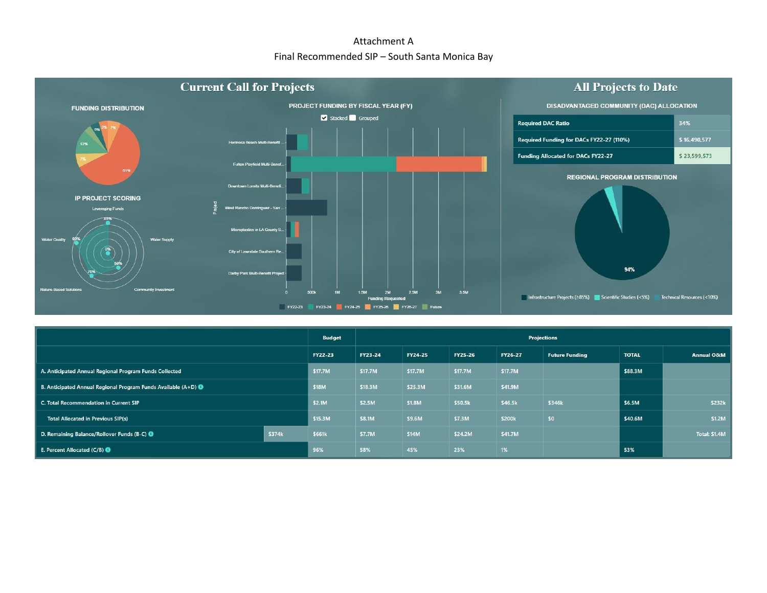# Attachment A Final Recommended SIP – South Santa Monica Bay



|                                                                                 |        |                | Projections    |                |                |         |                       |              |                       |  |  |
|---------------------------------------------------------------------------------|--------|----------------|----------------|----------------|----------------|---------|-----------------------|--------------|-----------------------|--|--|
|                                                                                 |        | <b>FY22-23</b> | <b>FY23-24</b> | <b>FY24-25</b> | <b>FY25-26</b> | FY26-27 | <b>Future Funding</b> | <b>TOTAL</b> | <b>Annual O&amp;M</b> |  |  |
| A. Anticipated Annual Regional Program Funds Collected                          |        | \$17.7M        | \$17.7M        | \$17.7M        | \$17.7M        | \$17.7M |                       | \$88.3M      |                       |  |  |
| <b>B.</b> Anticipated Annual Regional Program Funds Available $(A+D)$ $\bullet$ |        | <b>S18M</b>    | \$18.3M        | \$25.3M        | \$31.6M        | \$41.9M |                       |              |                       |  |  |
| C. Total Recommendation in Current SIP                                          |        | \$2.1M         | \$2.5M         | \$1.8M         | \$50.5k        | \$46.5k | \$346k                | \$6.5M       | \$232k                |  |  |
| <b>Total Allocated in Previous SIP(s)</b>                                       |        | \$15.3M        | \$8.1M         | \$9.6M         | \$7.3M         | \$200k  | \$0                   | \$40.6M      | \$1.2M                |  |  |
| D. Remaining Balance/Rollover Funds (B-C) @                                     | \$374k | \$661k         | \$7.7M         | \$14M          | \$24.2M        | \$41.7M |                       |              | Total: \$1.4M         |  |  |
| E. Percent Allocated $(C/B)$ $\bigcirc$                                         |        | 96%            | 58%            | 45%            | 23%            | 1%      |                       | 53%          |                       |  |  |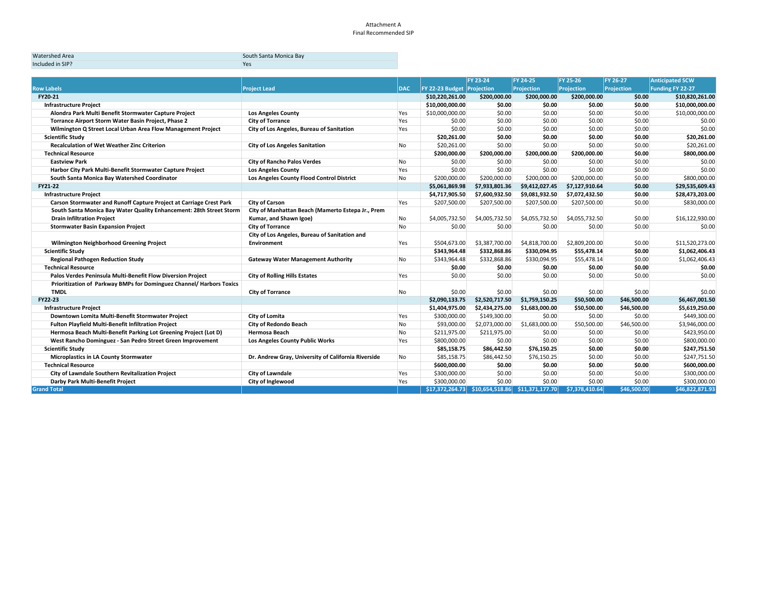#### Attachment A Final Recommended SIP

| <b>Watershed Area</b> | South Santa Monica Bay |
|-----------------------|------------------------|
| Included in SIP?      | Yes                    |

|                                                                      |                                                     |            | <b>FY 23-24</b>                                    |                | <b>FY 24-25</b>   | <b>FY 25-26</b>   | <b>FY 26-27</b> | <b>Anticipated SCW</b>  |
|----------------------------------------------------------------------|-----------------------------------------------------|------------|----------------------------------------------------|----------------|-------------------|-------------------|-----------------|-------------------------|
| <b>Row Labels</b>                                                    | <b>Project Lead</b>                                 | <b>DAC</b> | <b>FY 22-23 Budget Projection</b>                  |                | <b>Projection</b> | <b>Projection</b> | Projection      | <b>Funding FY 22-27</b> |
| FY20-21                                                              |                                                     |            | \$10,220,261.00                                    | \$200,000.00   | \$200,000.00      | \$200,000,00      | \$0.00          | \$10,820,261.00         |
| <b>Infrastructure Project</b>                                        |                                                     |            | \$10,000,000.00                                    | \$0.00         | \$0.00            | \$0.00            | \$0.00          | \$10,000,000.00         |
| Alondra Park Multi Benefit Stormwater Capture Project                | <b>Los Angeles County</b>                           | Yes        | \$10,000,000.00                                    | \$0.00         | \$0.00            | \$0.00            | \$0.00          | \$10,000,000.00         |
| Torrance Airport Storm Water Basin Project, Phase 2                  | <b>City of Torrance</b>                             | Yes        | \$0.00                                             | \$0.00         | \$0.00            | \$0.00            | \$0.00          | \$0.00                  |
| Wilmington Q Street Local Urban Area Flow Management Project         | City of Los Angeles, Bureau of Sanitation           | Yes        | \$0.00                                             | \$0.00         | \$0.00            | \$0.00            | \$0.00          | \$0.00                  |
| <b>Scientific Study</b>                                              |                                                     |            | \$20,261.00                                        | \$0.00         | \$0.00            | \$0.00            | \$0.00          | \$20,261.00             |
| <b>Recalculation of Wet Weather Zinc Criterion</b>                   | <b>City of Los Angeles Sanitation</b>               | No         | \$20,261.00                                        | \$0.00         | \$0.00            | \$0.00            | \$0.00          | \$20,261.00             |
| <b>Technical Resource</b>                                            |                                                     |            | \$200,000.00                                       | \$200,000.00   | \$200,000.00      | \$200,000.00      | \$0.00          | \$800,000.00            |
| <b>Eastview Park</b>                                                 | <b>City of Rancho Palos Verdes</b>                  | No         | \$0.00                                             | \$0.00         | \$0.00            | \$0.00            | \$0.00          | \$0.00                  |
| Harbor City Park Multi-Benefit Stormwater Capture Project            | <b>Los Angeles County</b>                           | Yes        | \$0.00                                             | \$0.00         | \$0.00            | \$0.00            | \$0.00          | \$0.00                  |
| South Santa Monica Bay Watershed Coordinator                         | Los Angeles County Flood Control District           | No         | \$200,000.00                                       | \$200,000.00   | \$200,000.00      | \$200,000.00      | \$0.00          | \$800,000.00            |
| FY21-22                                                              |                                                     |            | \$5,061,869.98                                     | \$7,933,801.36 | \$9,412,027.45    | \$7,127,910.64    | \$0.00          | \$29,535,609.43         |
| <b>Infrastructure Project</b>                                        |                                                     |            | \$4,717,905.50                                     | \$7,600,932.50 | \$9,081,932.50    | \$7,072,432.50    | \$0.00          | \$28,473,203.00         |
| Carson Stormwater and Runoff Capture Project at Carriage Crest Park  | <b>City of Carson</b>                               | Yes        | \$207,500.00                                       | \$207,500.00   | \$207,500.00      | \$207,500.00      | \$0.00          | \$830,000.00            |
| South Santa Monica Bay Water Quality Enhancement: 28th Street Storm  | City of Manhattan Beach (Mamerto Estepa Jr., Prem   |            |                                                    |                |                   |                   |                 |                         |
| <b>Drain Infiltration Project</b>                                    | Kumar, and Shawn Igoe)                              | No         | \$4,005,732.50                                     | \$4,005,732.50 | \$4,055,732.50    | \$4,055,732.50    | \$0.00          | \$16,122,930.00         |
| <b>Stormwater Basin Expansion Project</b>                            | <b>City of Torrance</b>                             | <b>No</b>  | \$0.00                                             | \$0.00         | \$0.00            | \$0.00            | \$0.00          | \$0.00                  |
|                                                                      | City of Los Angeles, Bureau of Sanitation and       |            |                                                    |                |                   |                   |                 |                         |
| Wilmington Neighborhood Greening Project                             | <b>Environment</b>                                  | Yes        | \$504,673.00                                       | \$3,387,700.00 | \$4,818,700.00    | \$2,809,200.00    | \$0.00          | \$11,520,273.00         |
| <b>Scientific Study</b>                                              |                                                     |            | \$343,964.48                                       | \$332,868.86   | \$330,094.95      | \$55,478.14       | \$0.00          | \$1,062,406.43          |
| <b>Regional Pathogen Reduction Study</b>                             | <b>Gateway Water Management Authority</b>           | <b>No</b>  | \$343,964.48                                       | \$332,868.86   | \$330,094.95      | \$55,478.14       | \$0.00          | \$1,062,406.43          |
| <b>Technical Resource</b>                                            |                                                     |            | \$0.00                                             | \$0.00         | \$0.00            | \$0.00            | \$0.00          | \$0.00                  |
| Palos Verdes Peninsula Multi-Benefit Flow Diversion Project          | <b>City of Rolling Hills Estates</b>                | Yes        | \$0.00                                             | \$0.00         | \$0.00            | \$0.00            | \$0.00          | \$0.00                  |
| Prioritization of Parkway BMPs for Dominguez Channel/ Harbors Toxics |                                                     |            |                                                    |                |                   |                   |                 |                         |
| <b>TMDL</b>                                                          | <b>City of Torrance</b>                             | No         | \$0.00                                             | \$0.00         | \$0.00            | \$0.00            | \$0.00          | \$0.00                  |
| FY22-23                                                              |                                                     |            | \$2,090,133.75                                     | \$2,520,717.50 | \$1,759,150.25    | \$50,500.00       | \$46,500.00     | \$6,467,001.50          |
| <b>Infrastructure Project</b>                                        |                                                     |            | \$1,404,975.00                                     | \$2,434,275.00 | \$1,683,000.00    | \$50,500.00       | \$46,500.00     | \$5,619,250.00          |
| Downtown Lomita Multi-Benefit Stormwater Project                     | <b>City of Lomita</b>                               | Yes        | \$300,000.00                                       | \$149,300.00   | \$0.00            | \$0.00            | \$0.00          | \$449,300.00            |
| <b>Fulton Playfield Multi-Benefit Infiltration Project</b>           | <b>City of Redondo Beach</b>                        | No         | \$93,000.00                                        | \$2,073,000.00 | \$1,683,000.00    | \$50,500.00       | \$46,500.00     | \$3,946,000.00          |
| Hermosa Beach Multi-Benefit Parking Lot Greening Project (Lot D)     | <b>Hermosa Beach</b>                                | No         | \$211,975.00                                       | \$211,975.00   | \$0.00            | \$0.00            | \$0.00          | \$423,950.00            |
| West Rancho Dominguez - San Pedro Street Green Improvement           | <b>Los Angeles County Public Works</b>              | Yes        | \$800,000.00                                       | \$0.00         | \$0.00            | \$0.00            | \$0.00          | \$800,000.00            |
| <b>Scientific Study</b>                                              |                                                     |            | \$85,158.75                                        | \$86,442.50    | \$76,150.25       | \$0.00            | \$0.00          | \$247,751.50            |
| <b>Microplastics in LA County Stormwater</b>                         | Dr. Andrew Gray, University of California Riverside | No         | \$85,158.75                                        | \$86,442.50    | \$76,150.25       | \$0.00            | \$0.00          | \$247,751.50            |
| <b>Technical Resource</b>                                            |                                                     |            | \$600,000.00                                       | \$0.00         | \$0.00            | \$0.00            | \$0.00          | \$600,000.00            |
| City of Lawndale Southern Revitalization Project                     | <b>City of Lawndale</b>                             | Yes        | \$300,000.00                                       | \$0.00         | \$0.00            | \$0.00            | \$0.00          | \$300,000.00            |
| Darby Park Multi-Benefit Project                                     | <b>City of Inglewood</b>                            | Yes        | \$300,000.00                                       | \$0.00         | \$0.00            | \$0.00            | \$0.00          | \$300,000.00            |
| <b>Grand Total</b>                                                   |                                                     |            | $$17,372,264.73$ $$10,654,518.86$ $$11,371,177.70$ |                |                   | \$7,378,410.64    | \$46,500,00     | \$46,822,871.93         |